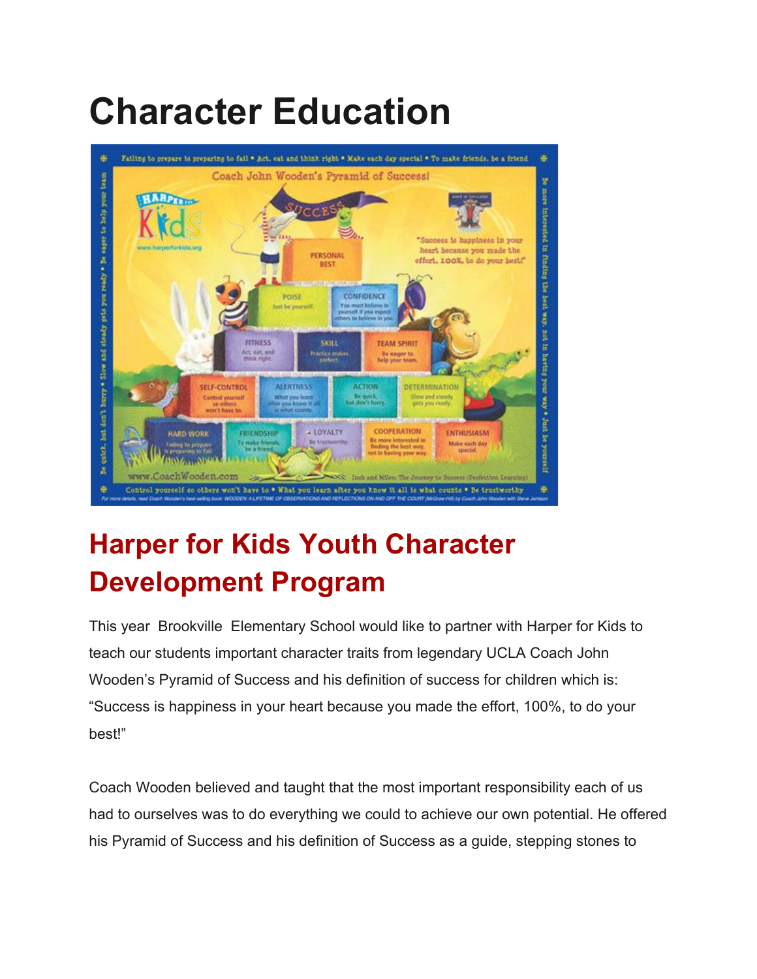## **Character Education**



## **Harper for Kids Youth Character Development Program**

This year Brookville Elementary School would like to partner with Harper for Kids to teach our students important character traits from legendary UCLA Coach John Wooden's Pyramid of Success and his definition of success for children which is: "Success is happiness in your heart because you made the effort, 100%, to do your best!"

Coach Wooden believed and taught that the most important responsibility each of us had to ourselves was to do everything we could to achieve our own potential. He offered his Pyramid of Success and his definition of Success as a guide, stepping stones to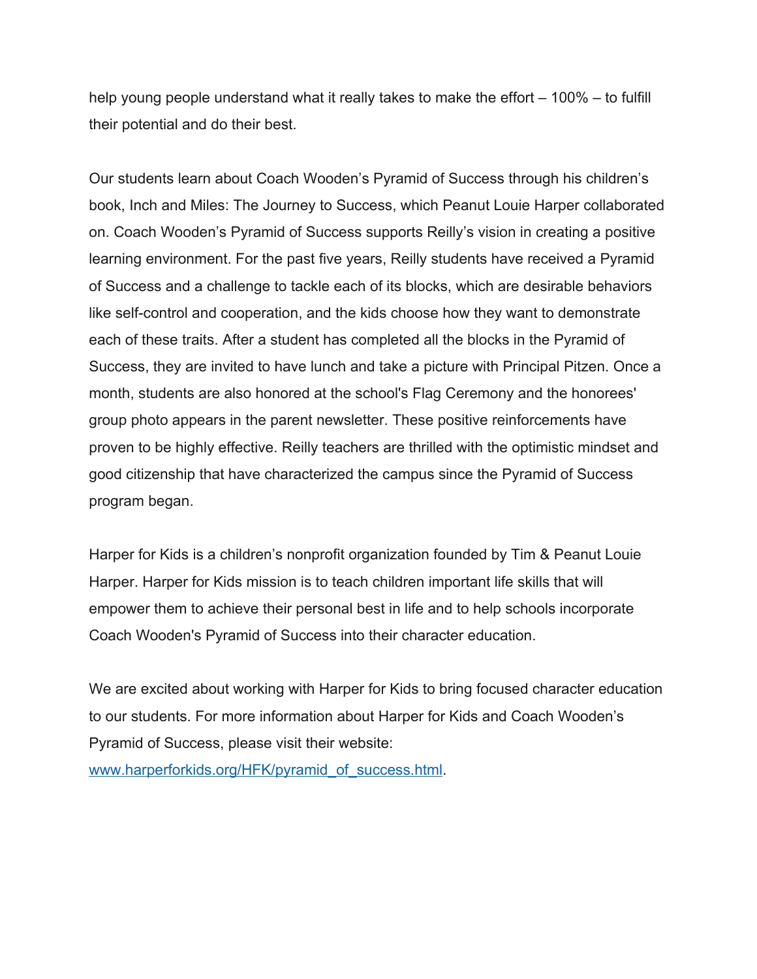help young people understand what it really takes to make the effort – 100% – to fulfill their potential and do their best.

Our students learn about Coach Wooden's Pyramid of Success through his children's book, Inch and Miles: The Journey to Success, which Peanut Louie Harper collaborated on. Coach Wooden's Pyramid of Success supports Reilly's vision in creating a positive learning environment. For the past five years, Reilly students have received a Pyramid of Success and a challenge to tackle each of its blocks, which are desirable behaviors like self-control and cooperation, and the kids choose how they want to demonstrate each of these traits. After a student has completed all the blocks in the Pyramid of Success, they are invited to have lunch and take a picture with Principal Pitzen. Once a month, students are also honored at the school's Flag Ceremony and the honorees' group photo appears in the parent newsletter. These positive reinforcements have proven to be highly effective. Reilly teachers are thrilled with the optimistic mindset and good citizenship that have characterized the campus since the Pyramid of Success program began.

Harper for Kids is a children's nonprofit organization founded by Tim & Peanut Louie Harper. Harper for Kids mission is to teach children important life skills that will empower them to achieve their personal best in life and to help schools incorporate Coach Wooden's Pyramid of Success into their character education.

We are excited about working with Harper for Kids to bring focused character education to our students. For more information about Harper for Kids and Coach Wooden's Pyramid of Success, please visit their website:

[www.harperforkids.org/HFK/pyramid\\_of\\_success.html](http://www.harperforkids.org/HFK/pyramid_of_success.html).